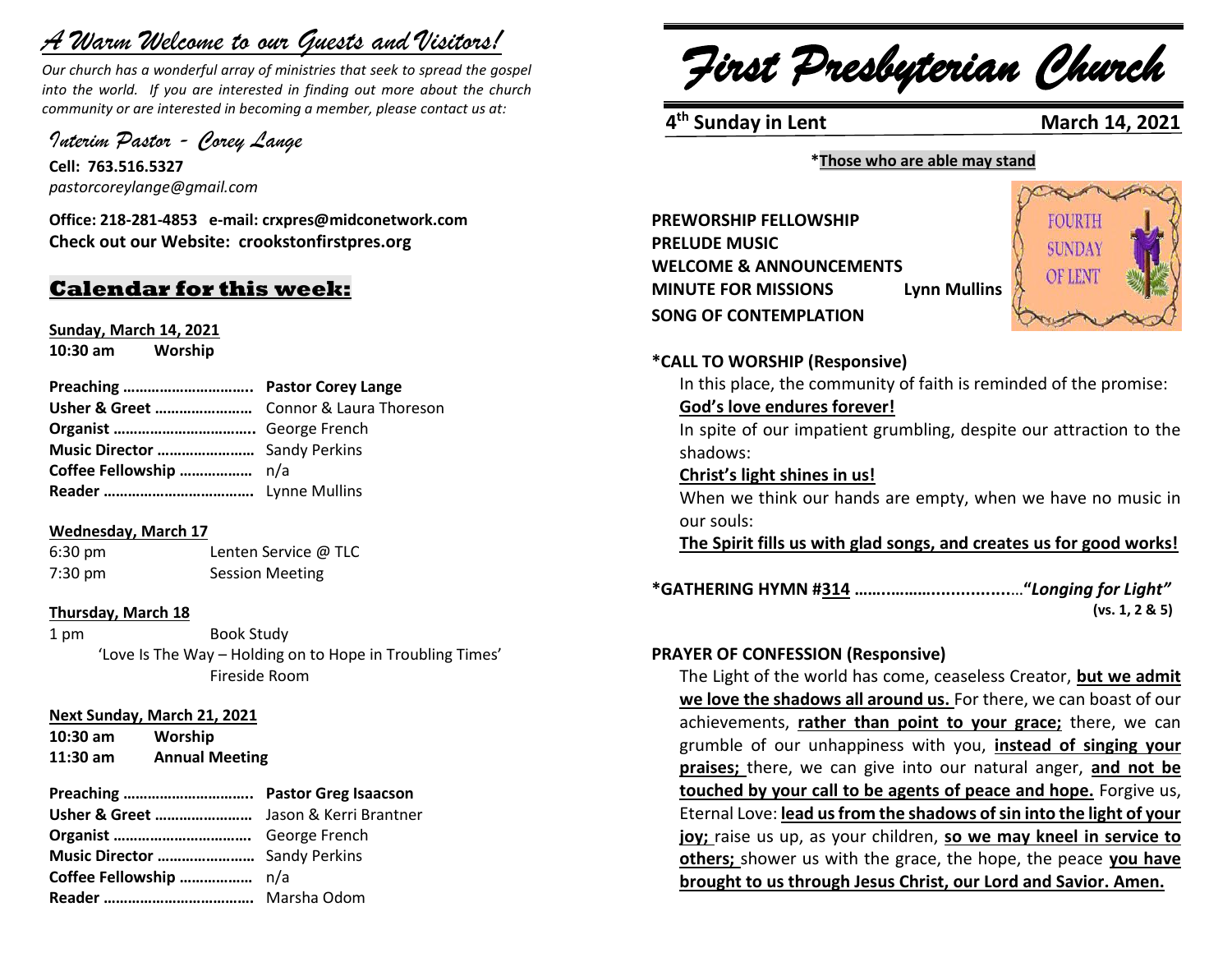# *A Warm Welcome to our Guests and Visitors!*

*Our church has a wonderful array of ministries that seek to spread the gospel into the world. If you are interested in finding out more about the church community or are interested in becoming a member, please contact us at:*

*Interim Pastor - Corey Lange*

**Cell: 763.516.5327** *pastorcoreylange@gmail.com*

**Office: 218-281-4853 e-mail: crxpres@midconetwork.com Check out our Website: crookstonfirstpres.org**

# **Calendar for this week:**

**Sunday, March 14, 2021 10:30 am Worship**

### **Wednesday, March 17**

6:30 pm Lenten Service @ TLC 7:30 pm Session Meeting

### **Thursday, March 18**

1 pm Book Study 'Love Is The Way – Holding on to Hope in Troubling Times' Fireside Room

### **Next Sunday, March 21, 2021**

**10:30 am Worship 11:30 am Annual Meeting**

### **Preaching ………………………….. Pastor Greg Isaacson Usher & Greet ……………………** Jason & Kerri Brantner

| <b>USher &amp; Greet ………………………</b> Jason & Kerri Brai |  |
|-------------------------------------------------------|--|
|                                                       |  |
| Music Director  Sandy Perkins                         |  |
|                                                       |  |
|                                                       |  |
|                                                       |  |

*First Presbyterian Church*

**4<sup>th</sup> Sunday in Lent** March 14, 2021

### **\*Those who are able may stand**

**PREWORSHIP FELLOWSHIP PRELUDE MUSIC WELCOME & ANNOUNCEMENTS MINUTE FOR MISSIONS** Lynn Mullins **Lynn Mulling SONG OF CONTEMPLATION** 



### **\*CALL TO WORSHIP (Responsive)**

In this place, the community of faith is reminded of the promise:

### **God's love endures forever!**

In spite of our impatient grumbling, despite our attraction to the shadows:

### **Christ's light shines in us!**

When we think our hands are empty, when we have no music in our souls:

**The Spirit fills us with glad songs, and creates us for good works!**

| (vs. 1, 2 & 5) |
|----------------|

### **PRAYER OF CONFESSION (Responsive)**

The Light of the world has come, ceaseless Creator, **but we admit we love the shadows all around us.** For there, we can boast of our achievements, **rather than point to your grace;** there, we can grumble of our unhappiness with you, **instead of singing your praises;** there, we can give into our natural anger, **and not be touched by your call to be agents of peace and hope.** Forgive us, Eternal Love: **lead us from the shadows of sin into the light of your joy;** raise us up, as your children, **so we may kneel in service to others;** shower us with the grace, the hope, the peace **you have brought to us through Jesus Christ, our Lord and Savior. Amen.**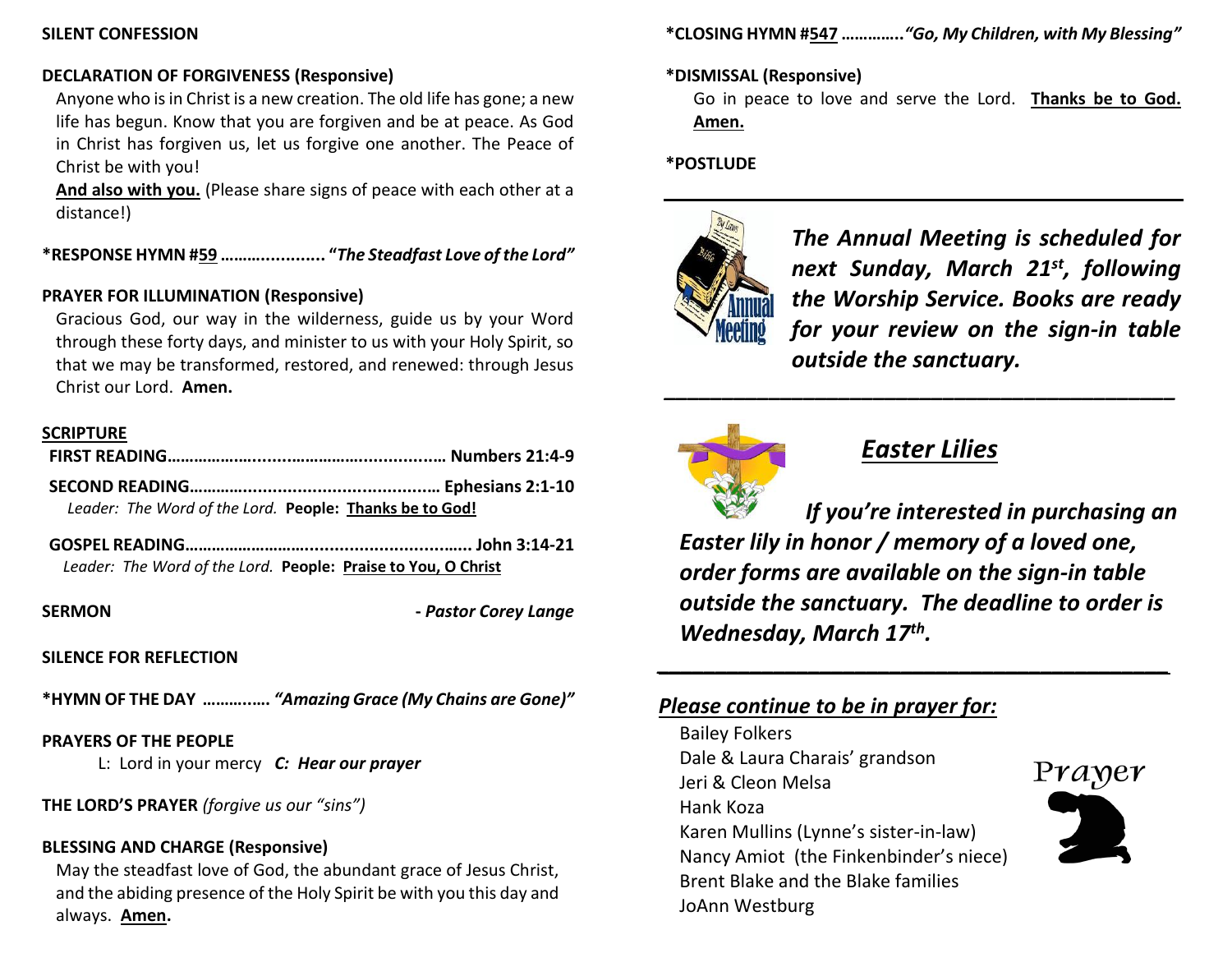### **SILENT CONFESSION**

# **DECLARATION OF FORGIVENESS (Responsive)**

Anyone who is in Christ is a new creation. The old life has gone; a new life has begun. Know that you are forgiven and be at peace. As God in Christ has forgiven us, let us forgive one another. The Peace of Christ be with you!

**And also with you.** (Please share signs of peace with each other at a distance!)

**\*RESPONSE HYMN #59 ………............. "***The Steadfast Love of the Lord"*

# **PRAYER FOR ILLUMINATION (Responsive)**

Gracious God, our way in the wilderness, guide us by your Word through these forty days, and minister to us with your Holy Spirit, so that we may be transformed, restored, and renewed: through Jesus Christ our Lord. **Amen.**

### **SCRIPTURE**

| Leader: The Word of the Lord. People: Thanks be to God! |  |
|---------------------------------------------------------|--|
|                                                         |  |

**GOSPEL READING………………………............................…... John 3:14-21** *Leader: The Word of the Lord.* **People: Praise to You, O Christ**

**SERMON -** *Pastor Corey Lange*

### **SILENCE FOR REFLECTION**

**\*HYMN OF THE DAY ………..….** *"Amazing Grace (My Chains are Gone)"*

### **PRAYERS OF THE PEOPLE**

L: Lord in your mercy *C: Hear our prayer*

# **THE LORD'S PRAYER** *(forgive us our "sins")*

### **BLESSING AND CHARGE (Responsive)**

May the steadfast love of God, the abundant grace of Jesus Christ, and the abiding presence of the Holy Spirit be with you this day and always. **Amen.**

**\*CLOSING HYMN #547 …………..***"Go, My Children, with My Blessing"*

# **\*DISMISSAL (Responsive)**

Go in peace to love and serve the Lord. **Thanks be to God. Amen.**

# **\*POSTLUDE**



*The Annual Meeting is scheduled for next Sunday, March 21st, following the Worship Service. Books are ready for your review on the sign-in table outside the sanctuary.*



# *Easter Lilies*

*\_\_\_\_\_\_\_\_\_\_\_\_\_\_\_\_\_\_\_\_\_\_\_\_\_\_\_\_\_\_\_\_\_\_\_\_\_\_\_\_\_\_\_\_*

*If you're interested in purchasing an Easter lily in honor / memory of a loved one, order forms are available on the sign-in table outside the sanctuary. The deadline to order is Wednesday, March 17th .*

*\_\_\_\_\_\_\_\_\_\_\_\_\_\_\_\_\_\_\_\_\_\_\_\_\_\_\_\_\_\_\_\_\_\_\_\_\_\_\_\_\_\_\_\_*

# *Please continue to be in prayer for:*

Bailey Folkers Dale & Laura Charais' grandson Jeri & Cleon Melsa Hank Koza Karen Mullins (Lynne's sister-in-law) Nancy Amiot (the Finkenbinder's niece) Brent Blake and the Blake families JoAnn Westburg

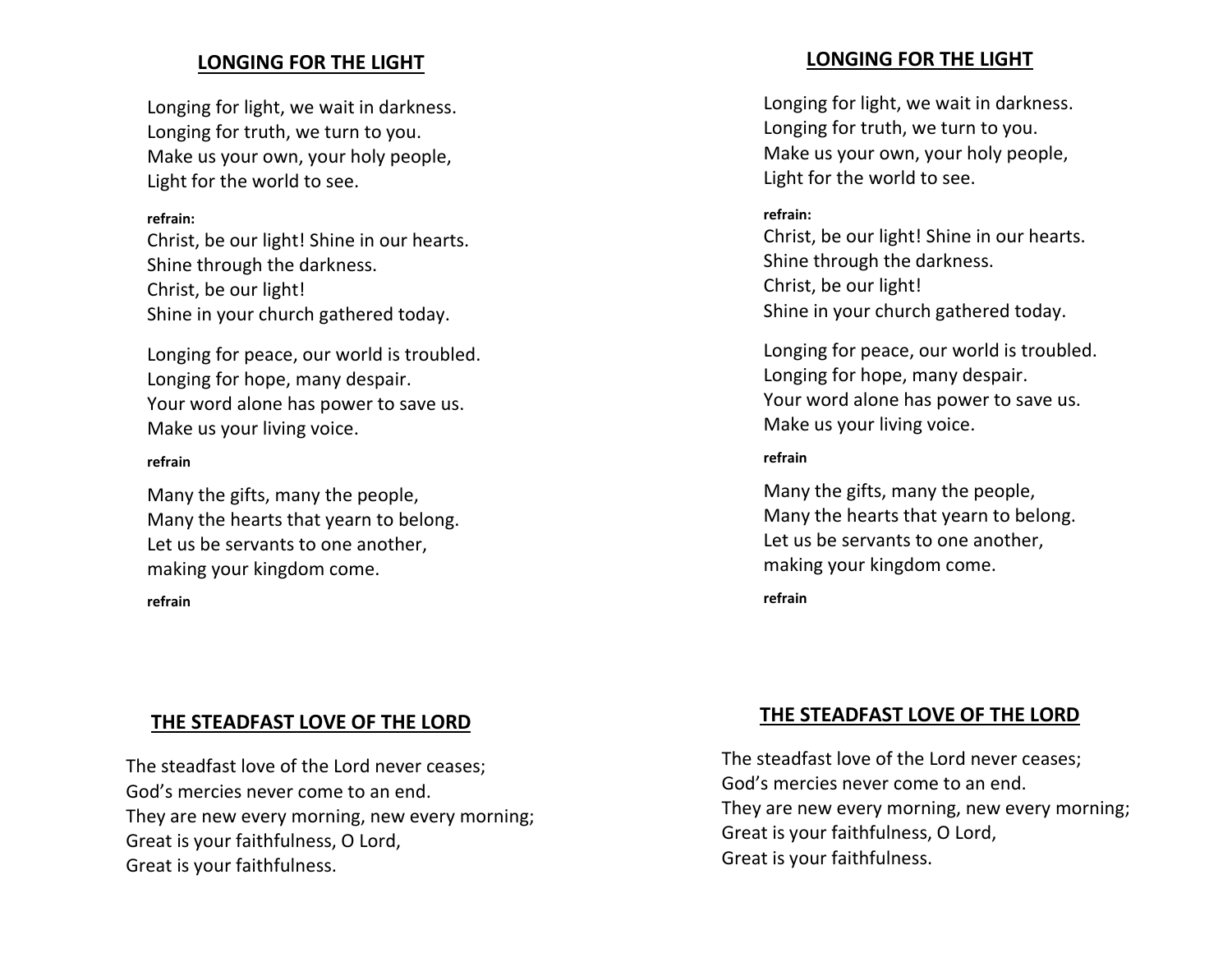# **LONGING FOR THE LIGHT**

Longing for light, we wait in darkness. Longing for truth, we turn to you. Make us your own, your holy people, Light for the world to see.

### **refrain:**

Christ, be our light! Shine in our hearts. Shine through the darkness. Christ, be our light! Shine in your church gathered today.

Longing for peace, our world is troubled. Longing for hope, many despair. Your word alone has power to save us. Make us your living voice.

### **refrain**

Many the gifts, many the people, Many the hearts that yearn to belong. Let us be servants to one another, making your kingdom come.

### **refrain**

# **THE STEADFAST LOVE OF THE LORD**

The steadfast love of the Lord never ceases; God's mercies never come to an end. They are new every morning, new every morning; Great is your faithfulness, O Lord, Great is your faithfulness.

# **LONGING FOR THE LIGHT**

Longing for light, we wait in darkness. Longing for truth, we turn to you. Make us your own, your holy people, Light for the world to see.

### **refrain:**

Christ, be our light! Shine in our hearts. Shine through the darkness. Christ, be our light! Shine in your church gathered today.

Longing for peace, our world is troubled. Longing for hope, many despair. Your word alone has power to save us. Make us your living voice.

### **refrain**

Many the gifts, many the people, Many the hearts that yearn to belong. Let us be servants to one another, making your kingdom come.

**refrain**

# **THE STEADFAST LOVE OF THE LORD**

The steadfast love of the Lord never ceases; God's mercies never come to an end. They are new every morning, new every morning; Great is your faithfulness, O Lord, Great is your faithfulness.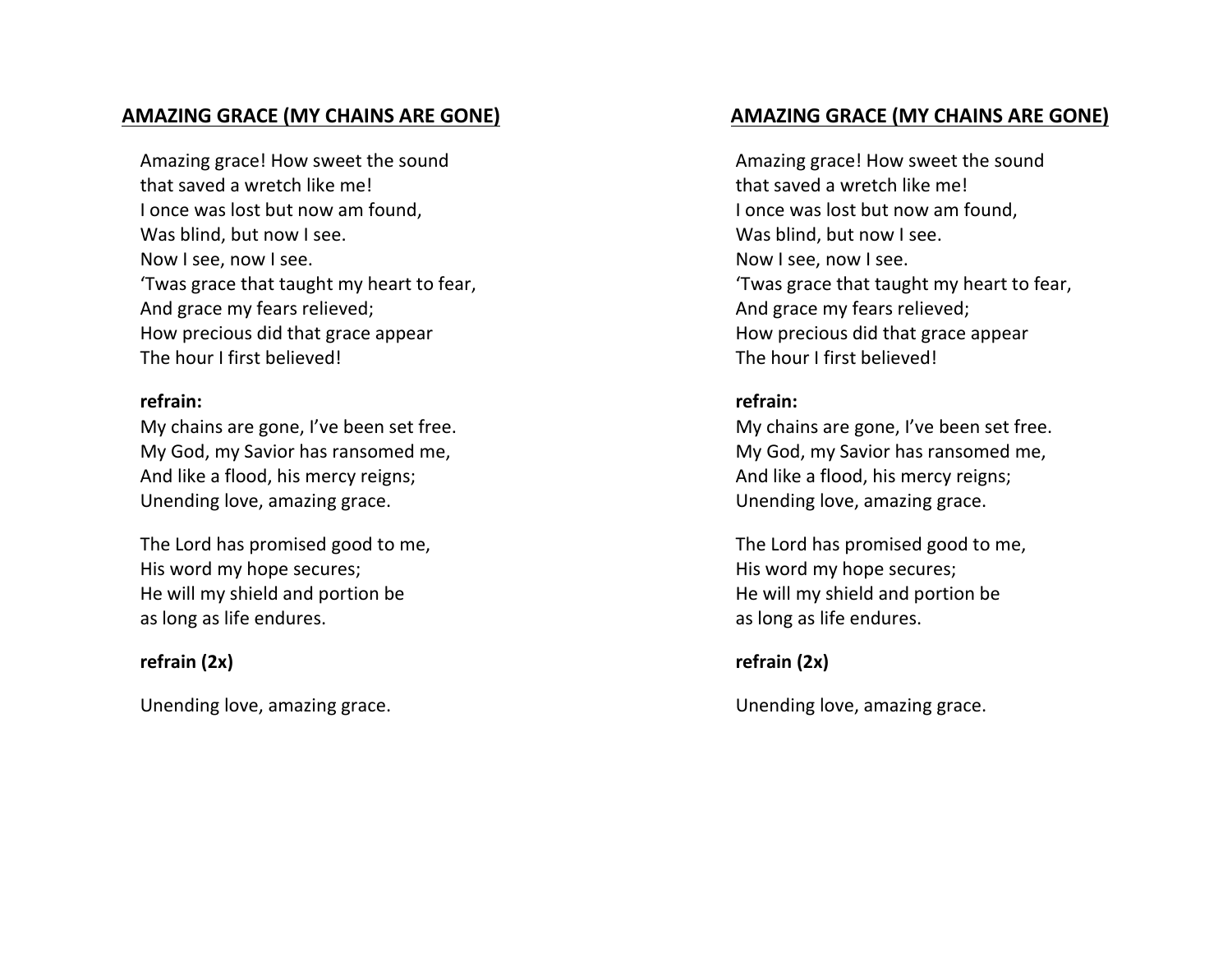# **AMAZING GRACE (MY CHAINS ARE GONE)**

Amazing grace! How sweet the sound that saved a wretch like me! I once was lost but now am found, Was blind, but now I see. Now I see, now I see. 'Twas grace that taught my heart to fear, And grace my fears relieved; How precious did that grace appear The hour I first believed!

### **refrain:**

My chains are gone, I've been set free. My God, my Savior has ransomed me, And like a flood, his mercy reigns; Unending love, amazing grace.

The Lord has promised good to me, His word my hope secures; He will my shield and portion be as long as life endures.

# **refrain (2x)**

Unending love, amazing grace.

# **AMAZING GRACE (MY CHAINS ARE GONE)**

Amazing grace! How sweet the sound that saved a wretch like me! I once was lost but now am found, Was blind, but now I see. Now I see, now I see. 'Twas grace that taught my heart to fear, And grace my fears relieved; How precious did that grace appear The hour I first believed!

# **refrain:**

My chains are gone, I've been set free. My God, my Savior has ransomed me, And like a flood, his mercy reigns; Unending love, amazing grace.

The Lord has promised good to me, His word my hope secures; He will my shield and portion be as long as life endures.

# **refrain (2x)**

Unending love, amazing grace.